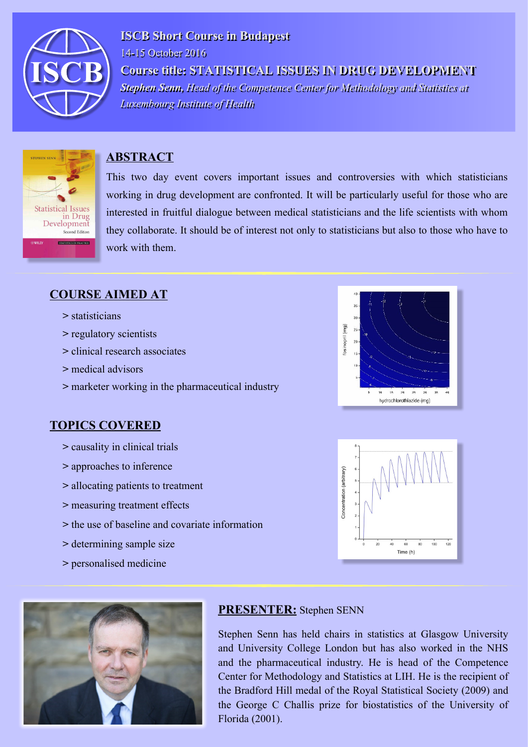

**ISCB Short Course in Budapest** 14-15 October 2016 Course title: STATISTICAL ISSUES IN DRUG DEVELOPMENT Stephen Senn, Head of the Competence Center for Methodology and Statistics at **Luxembourg Institute of Health** 



### **ABSTRACT**

This two day event covers important issues and controversies with which statisticians working in drug development are confronted. It will be particularly useful for those who are interested in fruitful dialogue between medical statisticians and the life scientists with whom they collaborate. It should be of interest not only to statisticians but also to those who have to work with them.

### **COURSE AIMED AT**

- **>** statisticians
- **>** regulatory scientists
- **>** clinical research associates
- **>** medical advisors
- **>** marketer working in the pharmaceutical industry

## **TOPICS COVERED**

- **>** causality in clinical trials
- **>** approaches to inference
- **>** allocating patients to treatment
- **>** measuring treatment effects
- **>** the use of baseline and covariate information
- **>** determining sample size
- **>** personalised medicine







#### **PRESENTER:** Stephen SENN

Stephen Senn has held chairs in statistics at Glasgow University and University College London but has also worked in the NHS and the pharmaceutical industry. He is head of the Competence Center for Methodology and Statistics at LIH. He is the recipient of the Bradford Hill medal of the Royal Statistical Society (2009) and the George C Challis prize for biostatistics of the University of Florida (2001).